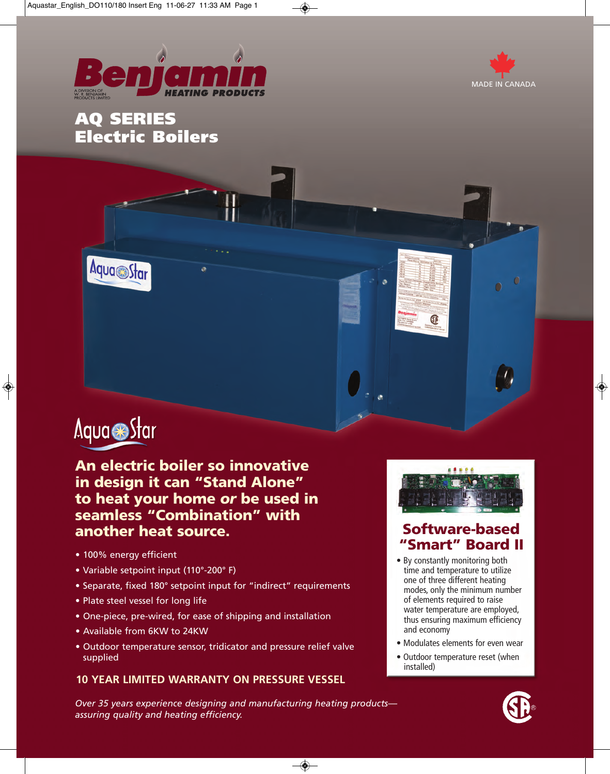

◈





 $\sqrt{2}$ 

 $\phi$ 

# Aqua Star

 $\bigoplus$ 

Aqua Star

**An electric boiler so innovative in design it can "Stand Alone" to heat your home** *or* **be used in seamless "Combination" with another heat source.**

- 100% energy efficient
- Variable setpoint input (110°-200° F)
- Separate, fixed 180° setpoint input for "indirect" requirements
- Plate steel vessel for long life
- One-piece, pre-wired, for ease of shipping and installation
- Available from 6KW to 24KW
- Outdoor temperature sensor, tridicator and pressure relief valve supplied

## **10 YEAR LIMITED WARRANTY ON PRESSURE VESSEL**

*Over 35 years experience designing and manufacturing heating products assuring quality and heating efficiency.*

 $\overline{\bullet}$ 



## **Software-based "Smart" Board II**

- By constantly monitoring both time and temperature to utilize one of three different heating modes, only the minimum number of elements required to raise water temperature are employed, thus ensuring maximum efficiency and economy
- Modulates elements for even wear
- Outdoor temperature reset (when installed)